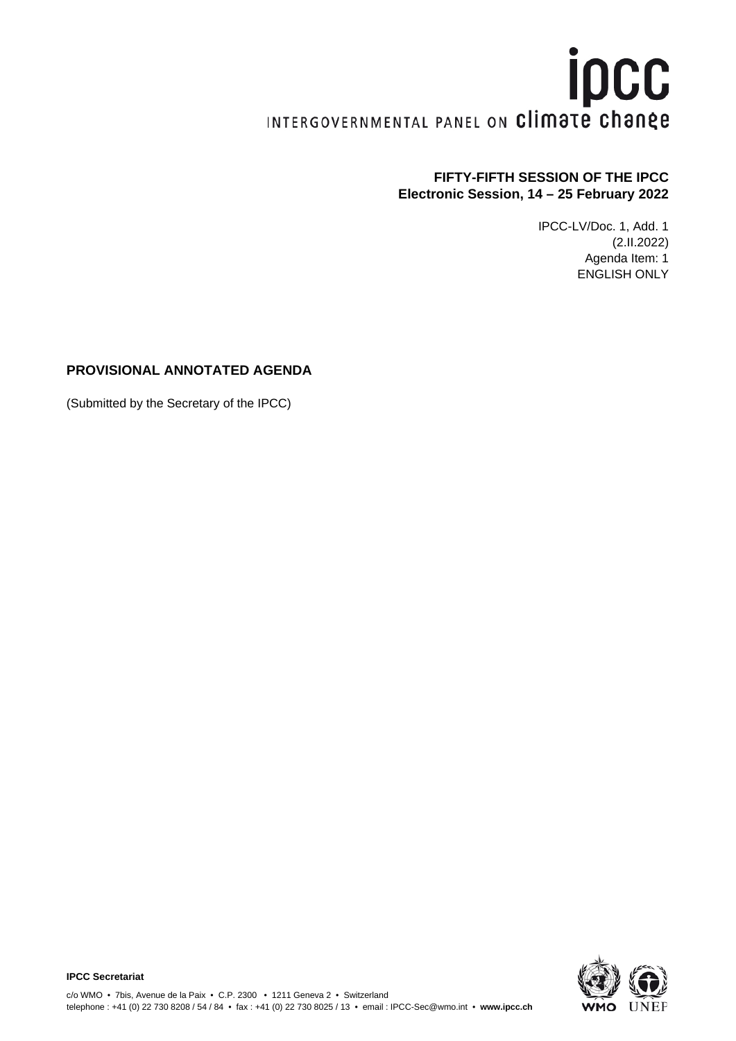# **ipcc** INTERGOVERNMENTAL PANEL ON Climate change

# **FIFTY-FIFTH SESSION OF THE IPCC Electronic Session, 14 – 25 February 2022**

IPCC-LV/Doc. 1, Add. 1 (2.II.2022) Agenda Item: 1 ENGLISH ONLY

## **PROVISIONAL ANNOTATED AGENDA**

(Submitted by the Secretary of the IPCC)

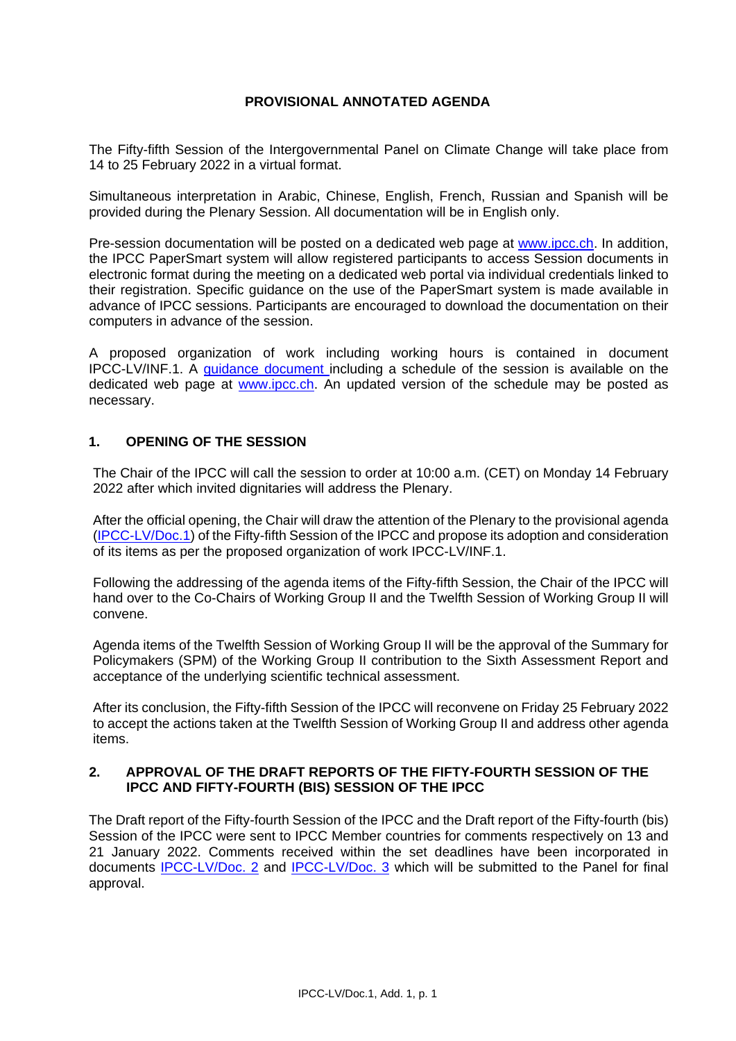## **PROVISIONAL ANNOTATED AGENDA**

The Fifty-fifth Session of the Intergovernmental Panel on Climate Change will take place from 14 to 25 February 2022 in a virtual format.

Simultaneous interpretation in Arabic, Chinese, English, French, Russian and Spanish will be provided during the Plenary Session. All documentation will be in English only.

Pre-session documentation will be posted on a dedicated web page at [www.ipcc.ch.](http://www.ipcc.ch/) In addition, the IPCC PaperSmart system will allow registered participants to access Session documents in electronic format during the meeting on a dedicated web portal via individual credentials linked to their registration. Specific guidance on the use of the PaperSmart system is made available in advance of IPCC sessions. Participants are encouraged to download the documentation on their computers in advance of the session.

A proposed organization of work including working hours is contained in document IPCC-LV/INF.1. A guidance [document](https://apps.ipcc.ch/eventmanager/documents/72/070220221244-GuidanceDoc.pdf) including a schedule of the session is available on the dedicated web page at [www.ipcc.ch.](http://www.ipcc.ch/) An updated version of the schedule may be posted as necessary.

## **1. OPENING OF THE SESSION**

The Chair of the IPCC will call the session to order at 10:00 a.m. (CET) on Monday 14 February 2022 after which invited dignitaries will address the Plenary.

After the official opening, the Chair will draw the attention of the Plenary to the provisional agenda [\(IPCC-LV/Doc.1\)](https://apps.ipcc.ch/eventmanager/documents/72/260120221058-Doc.1%20ProvAgendaP55.pdf) of the Fifty-fifth Session of the IPCC and propose its adoption and consideration of its items as per the proposed organization of work IPCC-LV/INF.1.

Following the addressing of the agenda items of the Fifty-fifth Session, the Chair of the IPCC will hand over to the Co-Chairs of Working Group II and the Twelfth Session of Working Group II will convene.

Agenda items of the Twelfth Session of Working Group II will be the approval of the Summary for Policymakers (SPM) of the Working Group II contribution to the Sixth Assessment Report and acceptance of the underlying scientific technical assessment.

After its conclusion, the Fifty-fifth Session of the IPCC will reconvene on Friday 25 February 2022 to accept the actions taken at the Twelfth Session of Working Group II and address other agenda items.

#### **2. APPROVAL OF THE DRAFT REPORTS OF THE FIFTY-FOURTH SESSION OF THE IPCC AND FIFTY-FOURTH (BIS) SESSION OF THE IPCC**

The Draft report of the Fifty-fourth Session of the IPCC and the Draft report of the Fifty-fourth (bis) Session of the IPCC were sent to IPCC Member countries for comments respectively on 13 and 21 January 2022. Comments received within the set deadlines have been incorporated in documents [IPCC-LV/Doc.](https://apps.ipcc.ch/eventmanager/documents/72/040220220625-Doc.2Draft%20ReportP54.pdf) 2 and [IPCC-LV/Doc. 3](https://apps.ipcc.ch/eventmanager/documents/72/030220221106-Doc.3%20DraftReportP54bis.pdf) which will be submitted to the Panel for final approval.